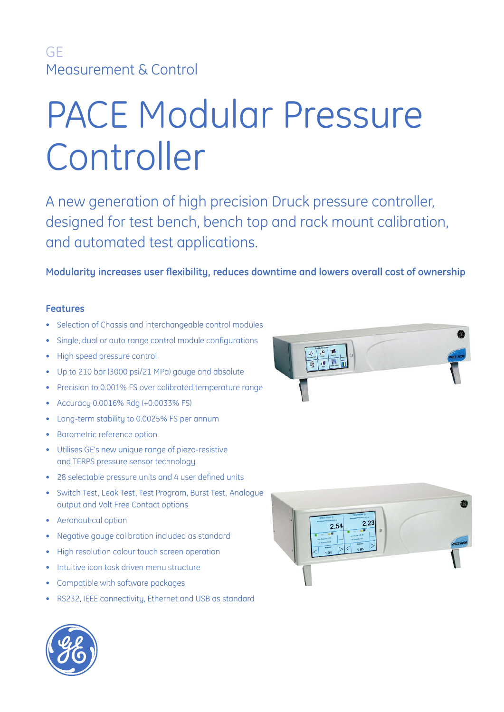# PACE Modular Pressure Controller

A new generation of high precision Druck pressure controller, designed for test bench, bench top and rack mount calibration, and automated test applications.

Modularity increases user flexibility, reduces downtime and lowers overall cost of ownership

### **Features**

- Selection of Chassis and interchangeable control modules
- Single, dual or auto range control module configurations
- High speed pressure control
- Up to 210 bar (3000 psi/21 MPa) gauge and absolute
- Precision to 0.001% FS over calibrated temperature range
- Accuracy 0.0016% Rdg (+0.0033% FS)
- Long-term stability to 0.0025% FS per annum
- Barometric reference option
- Utilises GE's new unique range of piezo-resistive and TERPS pressure sensor technology
- 28 selectable pressure units and 4 user defined units
- Switch Test, Leak Test, Test Program, Burst Test, Analogue output and Volt Free Contact options
- Aeronautical option
- Negative gauge calibration included as standard
- High resolution colour touch screen operation
- Intuitive icon task driven menu structure
- Compatible with software packages
- RS232, IEEE connectivity, Ethernet and USB as standard





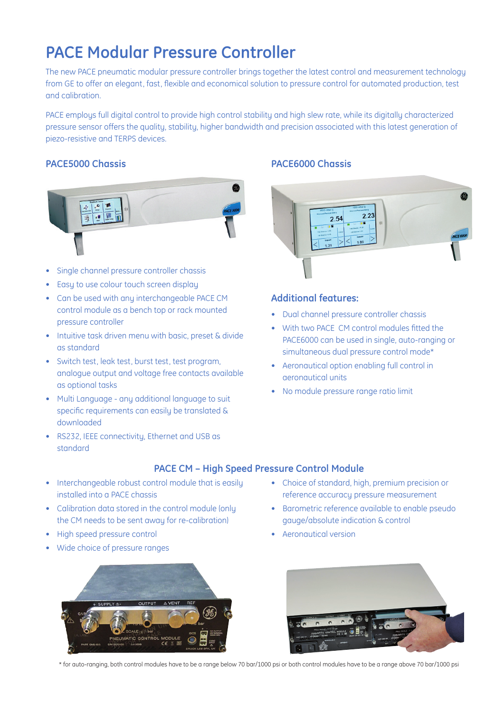# **PACE Modular Pressure Controller**

The new PACE pneumatic modular pressure controller brings together the latest control and measurement technology from GE to offer an elegant, fast, flexible and economical solution to pressure control for automated production, test and calibration.

PACE employs full digital control to provide high control stability and high slew rate, while its digitally characterized pressure sensor offers the quality, stability, higher bandwidth and precision associated with this latest generation of piezo-resistive and TERPS devices.

### **PACE5000 Chassis**



- Single channel pressure controller chassis
- Easy to use colour touch screen display
- Can be used with any interchangeable PACE CM control module as a bench top or rack mounted pressure controller
- Intuitive task driven menu with basic, preset & divide as standard
- Switch test, leak test, burst test, test program, analogue output and voltage free contacts available as optional tasks
- Multi Language any additional language to suit specific requirements can easily be translated  $\&$ downloaded
- RS232, IEEE connectivity, Ethernet and USB as standard
- Interchangeable robust control module that is easily
- installed into a PACE chassis
- Calibration data stored in the control module (only the CM needs to be sent away for re-calibration)
- High speed pressure control
- Wide choice of pressure ranges



### **PACE6000 Chassis**



### **Additional features:**

- Dual channel pressure controller chassis
- With two PACE CM control modules fitted the PACE6000 can be used in single, auto-ranging or simultaneous dual pressure control mode\*
- Aeronautical option enabling full control in aeronautical units
- No module pressure range ratio limit

- Choice of standard, high, premium precision or reference accuracy pressure measurement
	- Barometric reference available to enable pseudo gauge/absolute indication & control
	- Aeronautical version



\* for auto-ranging, both control modules have to be a range below 70 bar/1000 psi or both control modules have to be a range above 70 bar/1000 psi

**PACE CM – High Speed Pressure Control Module**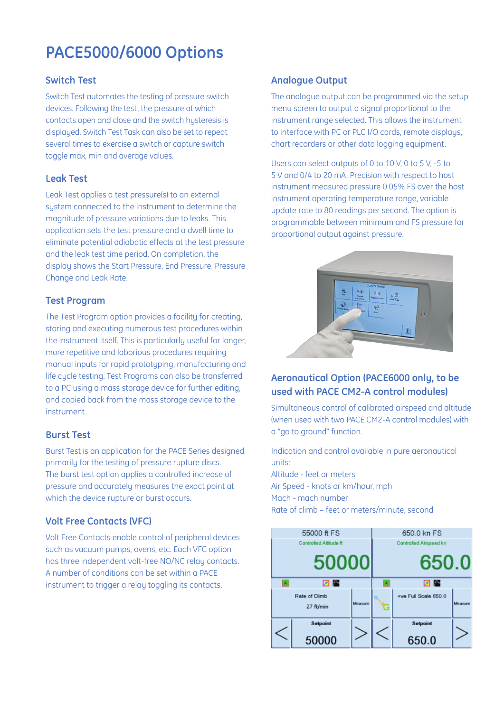## **PACE5000/6000 Options**

### **Switch Test**

Switch Test automates the testing of pressure switch devices. Following the test, the pressure at which contacts open and close and the switch hysteresis is displayed. Switch Test Task can also be set to repeat several times to exercise a switch or capture switch toggle max, min and average values.

### **Leak Test**

Leak Test applies a test pressure(s) to an external system connected to the instrument to determine the magnitude of pressure variations due to leaks. This application sets the test pressure and a dwell time to eliminate potential adiabatic effects at the test pressure and the leak test time period. On completion, the display shows the Start Pressure, End Pressure, Pressure Change and Leak Rate.

#### **Test Program**

The Test Program option provides a facility for creating, storing and executing numerous test procedures within the instrument itself. This is particularly useful for longer, more repetitive and laborious procedures requiring manual inputs for rapid prototyping, manufacturing and life cycle testing. Test Programs can also be transferred to a PC using a mass storage device for further editing, and copied back from the mass storage device to the instrument.

### **Burst Test**

Burst Test is an application for the PACE Series designed primarily for the testing of pressure rupture discs. The burst test option applies a controlled increase of pressure and accurately measures the exact point at which the device rupture or burst occurs.

### **Volt Free Contacts (VFC)**

Volt Free Contacts enable control of peripheral devices such as vacuum pumps, ovens, etc. Each VFC option has three independent volt-free NO/NC relay contacts. A number of conditions can be set within a PACE instrument to trigger a relay toggling its contacts.

### **Analogue Output**

The analogue output can be programmed via the setup menu screen to output a signal proportional to the instrument range selected. This allows the instrument to interface with PC or PLC I/O cards, remote displays, chart recorders or other data logging equipment.

Users can select outputs of 0 to 10 V, 0 to 5 V, -5 to 5 V and 0/4 to 20 mA. Precision with respect to host instrument measured pressure 0.05% FS over the host instrument operating temperature range, variable update rate to 80 readings per second. The option is programmable between minimum and FS pressure for proportional output against pressure.



### **Aeronautical Option (PACE6000 only, to be used with PACE CM2-A control modules)**

Simultaneous control of calibrated airspeed and altitude (when used with two PACE CM2-A control modules) with a "go to ground" function.

Indication and control available in pure aeronautical units: Altitude - feet or meters

Air Speed - knots or km/hour, mph Mach - mach number Rate of climb – feet or meters/minute, second

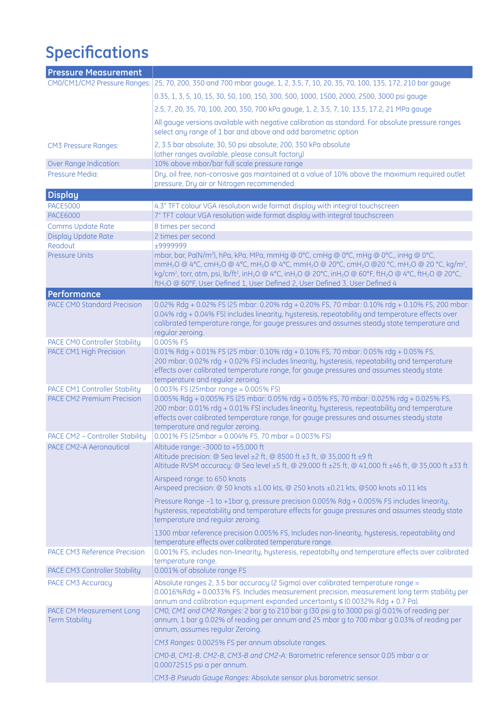# **Specifications**

| <b>Pressure Measurement</b>                                        |                                                                                                                                                                                                                                                                                                                                                                                                                                                                                                                                                                                     |
|--------------------------------------------------------------------|-------------------------------------------------------------------------------------------------------------------------------------------------------------------------------------------------------------------------------------------------------------------------------------------------------------------------------------------------------------------------------------------------------------------------------------------------------------------------------------------------------------------------------------------------------------------------------------|
|                                                                    | CM0/CM1/CM2 Pressure Ranges: 25, 70, 200, 350 and 700 mbar gauge, 1, 2, 3.5, 7, 10, 20, 35, 70, 100, 135, 172, 210 bar gauge                                                                                                                                                                                                                                                                                                                                                                                                                                                        |
|                                                                    | 0.35, 1, 3, 5, 10, 15, 30, 50, 100, 150, 300, 500, 1000, 1500, 2000, 2500, 3000 psi gauge                                                                                                                                                                                                                                                                                                                                                                                                                                                                                           |
|                                                                    | 2.5, 7, 20, 35, 70, 100, 200, 350, 700 kPa gauge, 1, 2, 3.5, 7, 10, 13.5, 17.2, 21 MPa gauge                                                                                                                                                                                                                                                                                                                                                                                                                                                                                        |
|                                                                    | All gauge versions available with negative calibration as standard. For absolute pressure ranges<br>select any range of 1 bar and above and add barometric option                                                                                                                                                                                                                                                                                                                                                                                                                   |
| <b>CM3 Pressure Ranges:</b>                                        | 2, 3.5 bar absolute; 30, 50 psi absolute; 200, 350 kPa absolute<br>(other ranges available, please consult factory)                                                                                                                                                                                                                                                                                                                                                                                                                                                                 |
| Over Range Indication:                                             | 10% above mbar/bar full scale pressure range                                                                                                                                                                                                                                                                                                                                                                                                                                                                                                                                        |
| Pressure Media:                                                    | Dry, oil free, non-corrosive gas maintained at a value of 10% above the maximum required outlet<br>pressure, Dry air or Nitrogen recommended.                                                                                                                                                                                                                                                                                                                                                                                                                                       |
| <b>Display</b>                                                     |                                                                                                                                                                                                                                                                                                                                                                                                                                                                                                                                                                                     |
| <b>PACE5000</b>                                                    | 4.3" TFT colour VGA resolution wide format display with integral touchscreen                                                                                                                                                                                                                                                                                                                                                                                                                                                                                                        |
| <b>PACE6000</b>                                                    | 7" TFT colour VGA resolution wide format display with integral touchscreen                                                                                                                                                                                                                                                                                                                                                                                                                                                                                                          |
| Comms Update Rate                                                  | 8 times per second                                                                                                                                                                                                                                                                                                                                                                                                                                                                                                                                                                  |
| Display Update Rate<br>Readout                                     | 2 times per second<br>±9999999                                                                                                                                                                                                                                                                                                                                                                                                                                                                                                                                                      |
| <b>Pressure Units</b>                                              | mbar, bar, Pa(N/m <sup>2</sup> ), hPa, kPa, MPa, mmHg @ 0°C, cmHg @ 0°C, mHg @ 0°C, inHg @ 0°C,<br>mmH <sub>2</sub> O @ 4°C, cmH <sub>2</sub> O @ 4°C, mH <sub>2</sub> O @ 4°C, mmH <sub>2</sub> O @ 20°C, cmH <sub>2</sub> O @20 °C, mH <sub>2</sub> O @ 20 °C, kg/m <sup>2</sup> ,<br>kg/cm <sup>2</sup> , torr, atm, psi, lb/ft <sup>2</sup> , inH <sub>2</sub> O @ 4°C, inH <sub>2</sub> O @ 20°C, inH <sub>2</sub> O @ 60°F, ftH <sub>2</sub> O @ 4°C, ftH <sub>2</sub> O @ 20°C,<br>ftH <sub>2</sub> O @ 60°F, User Defined 1, User Defined 2, User Defined 3, User Defined 4 |
| Performance                                                        |                                                                                                                                                                                                                                                                                                                                                                                                                                                                                                                                                                                     |
| <b>PACE CMO Standard Precision</b>                                 | 0.02% Rdg + 0.02% FS (25 mbar: 0.20% rdg + 0.20% FS, 70 mbar: 0.10% rdg + 0.10% FS, 200 mbar:<br>0.04% rdg + 0.04% FS) includes linearity, hysteresis, repeatability and temperature effects over<br>calibrated temperature range, for gauge pressures and assumes steady state temperature and<br>regular zeroing.                                                                                                                                                                                                                                                                 |
| PACE CM0 Controller Stability                                      | 0.005% FS                                                                                                                                                                                                                                                                                                                                                                                                                                                                                                                                                                           |
| PACE CM1 High Precision                                            | 0.01% Rdg + 0.01% FS (25 mbar: 0.10% rdg + 0.10% FS, 70 mbar: 0.05% rdg + 0.05% FS,<br>200 mbar: 0.02% rdg + 0.02% FS) includes linearity, hysteresis, repeatability and temperature<br>effects over calibrated temperature range, for gauge pressures and assumes steady state                                                                                                                                                                                                                                                                                                     |
|                                                                    | temperature and regular zeroing.                                                                                                                                                                                                                                                                                                                                                                                                                                                                                                                                                    |
| PACE CM1 Controller Stability<br><b>PACE CM2 Premium Precision</b> | 0.003% FS (25mbar range = 0.005% FS)<br>0.005% Rdg + 0.005% FS (25 mbar: 0.05% rdg + 0.05% FS, 70 mbar: 0.025% rdg + 0.025% FS,<br>200 mbar: 0.01% rdg + 0.01% FS) includes linearity, hysteresis, repeatability and temperature<br>effects over calibrated temperature range, for gauge pressures and assumes steady state                                                                                                                                                                                                                                                         |
| PACE CM2 - Controller Stability                                    | temperature and regular zeroing.<br>$0.001\%$ FS (25mbar = 0.004% FS. 70 mbar = 0.003% FS)                                                                                                                                                                                                                                                                                                                                                                                                                                                                                          |
| PACE CM2-A Aeronautical                                            | Altitude range: -3000 to +55,000 ft                                                                                                                                                                                                                                                                                                                                                                                                                                                                                                                                                 |
|                                                                    | Altitude precision: @ Sea level $\pm 2$ ft, @ 8500 ft $\pm 3$ ft, @ 35,000 ft $\pm 9$ ft<br>Altitude RVSM accuracy: @ Sea level ±5 ft, @ 29,000 ft ±25 ft, @ 41,000 ft ±46 ft, @ 35,000 ft ±33 ft                                                                                                                                                                                                                                                                                                                                                                                   |
|                                                                    | Airspeed range: to 650 knots<br>Airspeed precision: @ 50 knots ±1.00 kts, @ 250 knots ±0.21 kts, @500 knots ±0.11 kts                                                                                                                                                                                                                                                                                                                                                                                                                                                               |
|                                                                    | Pressure Range -1 to +1bar g, pressure precision 0.005% Rdg + 0.005% FS includes linearity,<br>hysteresis, repeatability and temperature effects for gauge pressures and assumes steady state<br>temperature and regular zeroing.                                                                                                                                                                                                                                                                                                                                                   |
|                                                                    | 1300 mbar reference precision 0.005% FS, Includes non-linearity, hysteresis, repeatability and<br>temperature effects over calibrated temperature range.                                                                                                                                                                                                                                                                                                                                                                                                                            |
| PACE CM3 Reference Precision                                       | 0.001% FS, includes non-linearity, hysteresis, repeatabilty and temperature effects over calibrated<br>temperature range.                                                                                                                                                                                                                                                                                                                                                                                                                                                           |
| PACE CM3 Controller Stability                                      | 0.001% of absolute range FS                                                                                                                                                                                                                                                                                                                                                                                                                                                                                                                                                         |
| PACE CM3 Accuracy                                                  | Absolute ranges 2, 3.5 bar accuracy (2 Sigma) over calibrated temperature range =<br>0.0016%Rdg + 0.0033% FS. Includes measurement precision, measurement long term stability per<br>annum and calibration equipment expanded uncertainty $\leq$ (0.0032% Rdg + 0.7 Pa).                                                                                                                                                                                                                                                                                                            |
| <b>PACE CM Measurement Long</b><br><b>Term Stability</b>           | CM0, CM1 and CM2 Ranges: 2 bar g to 210 bar g (30 psi g to 3000 psi g) 0.01% of reading per<br>annum, 1 bar g 0.02% of reading per annum and 25 mbar g to 700 mbar g 0.03% of reading per<br>annum, assumes regular Zeroing.                                                                                                                                                                                                                                                                                                                                                        |
|                                                                    | CM3 Ranges: 0.0025% FS per annum absolute ranges.                                                                                                                                                                                                                                                                                                                                                                                                                                                                                                                                   |
|                                                                    | CMO-B, CM1-B, CM2-B, CM3-B and CM2-A: Barometric reference sensor 0.05 mbar a or<br>0.00072515 psi a per annum.                                                                                                                                                                                                                                                                                                                                                                                                                                                                     |
|                                                                    | CM3-B Pseudo Gauge Ranges: Absolute sensor plus barometric sensor.                                                                                                                                                                                                                                                                                                                                                                                                                                                                                                                  |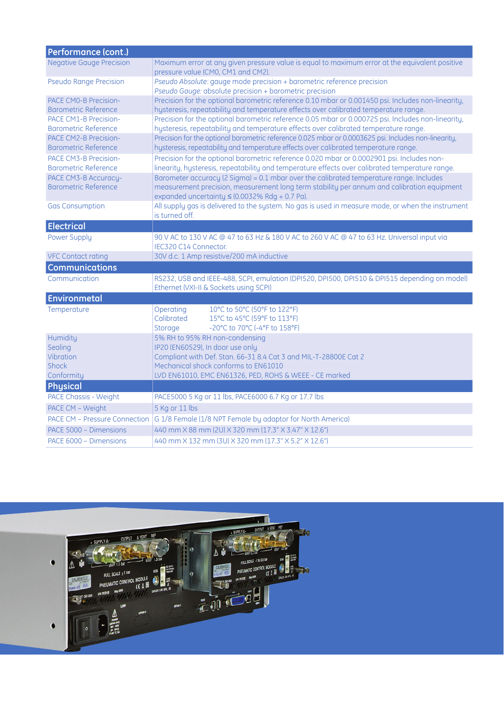| Performance (cont.)                                            |                                                                                                                                                                                                                                              |
|----------------------------------------------------------------|----------------------------------------------------------------------------------------------------------------------------------------------------------------------------------------------------------------------------------------------|
| <b>Negative Gauge Precision</b>                                | Maximum error at any given pressure value is equal to maximum error at the equivalent positive<br>pressure value (CM0, CM1 and CM2).                                                                                                         |
| <b>Pseudo Range Precision</b>                                  | Pseudo Absolute: gauge mode precision + barometric reference precision<br>Pseudo Gauge: absolute precision + barometric precision                                                                                                            |
| PACE CMO-B Precision-<br><b>Barometric Reference</b>           | Precision for the optional barometric reference 0.10 mbar or 0.001450 psi. Includes non-linearity,<br>hysteresis, repeatability and temperature effects over calibrated temperature range.                                                   |
| PACE CM1-B Precision-<br><b>Barometric Reference</b>           | Precision for the optional barometric reference 0.05 mbar or 0.000725 psi. Includes non-linearity,<br>hysteresis, repeatability and temperature effects over calibrated temperature range.                                                   |
| PACE CM2-B Precision-<br><b>Barometric Reference</b>           | Precision for the optional barometric reference 0.025 mbar or 0.0003625 psi. Includes non-linearity,<br>hysteresis, repeatability and temperature effects over calibrated temperature range.                                                 |
| <b>PACE CM3-B Precision-</b><br><b>Barometric Reference</b>    | Precision for the optional barometric reference 0.020 mbar or 0.0002901 psi. Includes non-<br>linearity, hysteresis, repeatability and temperature effects over calibrated temperature range.                                                |
| PACE CM3-B Accuracy-<br><b>Barometric Reference</b>            | Barometer accuracy (2 Sigma) = 0.1 mbar over the calibrated temperature range. Includes<br>measurement precision, measurement long term stability per annum and calibration equipment<br>expanded uncertainty $\leq$ (0.0032% Rdg + 0.7 Pa). |
| <b>Gas Consumption</b>                                         | All supply gas is delivered to the system. No gas is used in measure mode, or when the instrument<br>is turned off.                                                                                                                          |
| <b>Electrical</b>                                              |                                                                                                                                                                                                                                              |
| Power Supply                                                   | 90 V AC to 130 V AC @ 47 to 63 Hz & 180 V AC to 260 V AC @ 47 to 63 Hz. Universal input via<br>IEC320 C14 Connector.                                                                                                                         |
| <b>VFC Contact rating</b>                                      | 30V d.c. 1 Amp resistive/200 mA inductive                                                                                                                                                                                                    |
| <b>Communications</b>                                          |                                                                                                                                                                                                                                              |
| Communication                                                  | RS232, USB and IEEE-488, SCPI, emulation (DPI520, DPI500, DPI510 & DPI515 depending on model)<br>Ethernet (VXI-II & Sockets using SCPI)                                                                                                      |
| Environmetal                                                   |                                                                                                                                                                                                                                              |
| Temperature                                                    | 10°C to 50°C (50°F to 122°F)<br>Operating<br>Calibrated<br>15°C to 45°C (59°F to 113°F)<br>-20°C to 70°C (-4°F to 158°F)<br>Storage                                                                                                          |
| Humidity<br>Sealing<br>Vibration<br><b>Shock</b><br>Conformity | 5% RH to 95% RH non-condensing<br>IP20 (EN60529), In door use only<br>Compliant with Def. Stan. 66-31 8.4 Cat 3 and MIL-T-28800E Cat 2<br>Mechanical shock conforms to EN61010<br>LVD EN61010, EMC EN61326, PED, ROHS & WEEE - CE marked     |
| Physical                                                       |                                                                                                                                                                                                                                              |
| <b>PACE Chassis - Weight</b>                                   | PACE5000 5 Kg or 11 lbs, PACE6000 6.7 Kg or 17.7 lbs                                                                                                                                                                                         |
| PACE CM - Weight                                               | 5 Kg or 11 lbs                                                                                                                                                                                                                               |
| <b>PACE CM - Pressure Connection</b>                           | G 1/8 Female (1/8 NPT Female by adaptor for North America)                                                                                                                                                                                   |
| PACE 5000 - Dimensions                                         | 440 mm X 88 mm (2U) X 320 mm (17.3" X 3.47" X 12.6")                                                                                                                                                                                         |
| PACE 6000 - Dimensions                                         | 440 mm X 132 mm (3U) X 320 mm (17.3" X 5.2" X 12.6")                                                                                                                                                                                         |

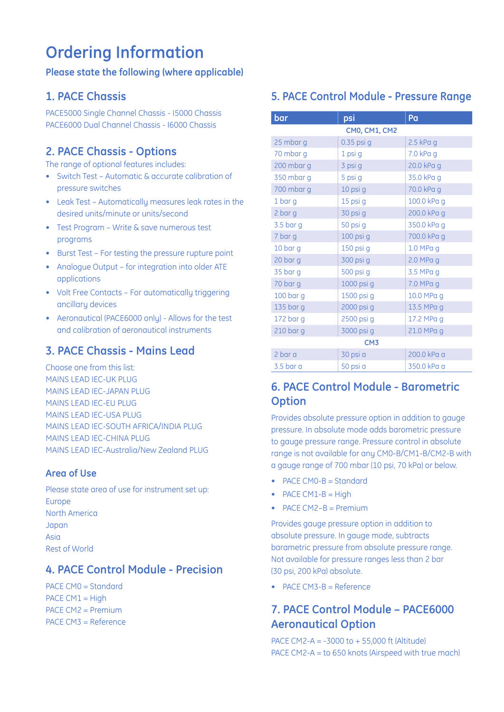# **Ordering Information**

### **Please state the following (where applicable)**

### **1. PACE Chassis**

PACE5000 Single Channel Chassis - I5000 Chassis PACE6000 Dual Channel Chassis - I6000 Chassis

### **2. PACE Chassis - Options**

The range of optional features includes:

- Switch Test Automatic & accurate calibration of pressure switches
- Leak Test Automatically measures leak rates in the desired units/minute or units/second
- Test Program Write & save numerous test programs
- Burst Test For testing the pressure rupture point
- Analogue Output for integration into older ATE applications
- Volt Free Contacts For automatically triggering ancillaru devices
- Aeronautical (PACE6000 only) Allows for the test and calibration of aeronautical instruments

### **3. PACE Chassis - Mains Lead**

Choose one from this list: MAINS LEAD IEC-UK PLUG MAINS LEAD IEC-JAPAN PLUG MAINS LEAD IEC-EU PLUG MAINS LEAD IEC-USA PLUG MAINS LEAD IEC-SOUTH AFRICA/INDIA PLUG MAINS LEAD IEC-CHINA PLUG MAINS LEAD IEC-Australia/New Zealand PLUG

### **Area of Use**

Please state area of use for instrument set up: Europe North America Japan Asia Rest of World

### **4. PACE Control Module - Precision**

PACE CM0 = Standard  $PACE CM1 = High$ PACE CM2 = Premium PACE CM3 = Reference

### **5. PACE Control Module - Pressure Range**

| bar             | psi                  | Pa          |  |
|-----------------|----------------------|-------------|--|
|                 | <b>CM0, CM1, CM2</b> |             |  |
| 25 mbar g       | 0.35 psi g           | $2.5$ kPa g |  |
| 70 mbar g       | 1 psi g              | 7.0 kPa g   |  |
| 200 mbar g      | 3 psi g              | 20.0 kPa g  |  |
| 350 mbar g      | 5 psi g              | 35.0 kPa g  |  |
| 700 mbar g      | 10 psi g             | 70.0 kPa g  |  |
| 1 bar g         | 15 psi g             | 100.0 kPa g |  |
| 2 bar g         | 30 psi g             | 200.0 kPa g |  |
| 3.5 bar g       | 50 psi g             | 350.0 kPa g |  |
| 7 bar g         | 100 psi g            | 700.0 kPa g |  |
| 10 bar g        | 150 psi g            | $1.0$ MPa g |  |
| 20 bar g        | 300 psi g            | 2.0 MPa g   |  |
| 35 bar g        | 500 psi g            | 3.5 MPa g   |  |
| 70 bar g        | 1000 psi g           | 7.0 MPa g   |  |
| 100 bar g       | 1500 psi g           | 10.0 MPa g  |  |
| 135 bar g       | 2000 psi g           | 13.5 MPa g  |  |
| 172 bar g       | 2500 psi g           | 17.2 MPa g  |  |
| $210$ bar g     | 3000 psi g           | 21.0 MPa g  |  |
| CM <sub>3</sub> |                      |             |  |
| 2 bar a         | 30 psi a             | 200.0 kPa a |  |
| $3.5$ bar a     | 50 psi a             | 350.0 kPa a |  |

### **6. PACE Control Module - Barometric Option**

Provides absolute pressure option in addition to gauge pressure. In absolute mode adds barometric pressure to gauge pressure range. Pressure control in absolute range is not available for any CM0-B/CM1-B/CM2-B with a gauge range of 700 mbar (10 psi, 70 kPa) or below.

- PACE CM0-B = Standard
- $\bullet$  PACE CM1-B = High
- PACE CM2-B = Premium

Provides gauge pressure option in addition to absolute pressure. In gauge mode, subtracts barametric pressure from absolute pressure range. Not available for pressure ranges less than 2 bar (30 psi, 200 kPa) absolute.

• PACE CM3-B = Reference

### **7. PACE Control Module – PACE6000 Aeronautical Option**

PACE CM2-A = -3000 to + 55,000 ft (Altitude) PACE CM2-A = to 650 knots (Airspeed with true mach)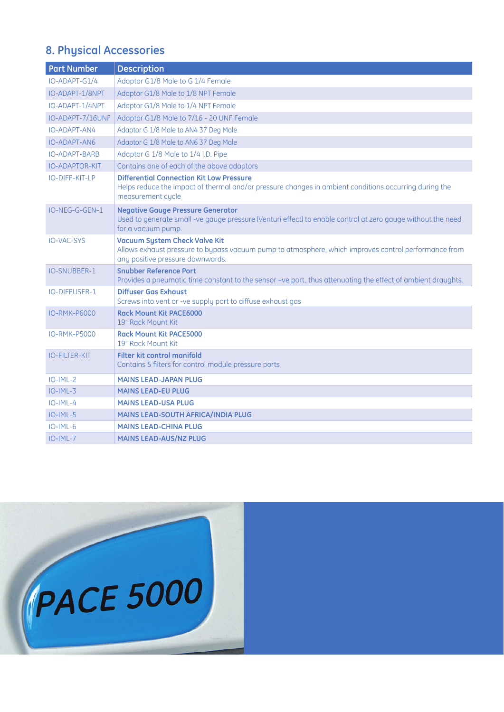### **8. Physical Accessories**

| <b>Part Number</b>    | <b>Description</b>                                                                                                                                                               |
|-----------------------|----------------------------------------------------------------------------------------------------------------------------------------------------------------------------------|
| $IO-ADAPT-G1/4$       | Adaptor G1/8 Male to G 1/4 Female                                                                                                                                                |
| IO-ADAPT-1/8NPT       | Adaptor G1/8 Male to 1/8 NPT Female                                                                                                                                              |
| IO-ADAPT-1/4NPT       | Adaptor G1/8 Male to 1/4 NPT Female                                                                                                                                              |
| IO-ADAPT-7/16UNF      | Adaptor G1/8 Male to 7/16 - 20 UNF Female                                                                                                                                        |
| IO-ADAPT-AN4          | Adaptor G 1/8 Male to AN4 37 Deg Male                                                                                                                                            |
| <b>IO-ADAPT-AN6</b>   | Adaptor G 1/8 Male to AN6 37 Deg Male                                                                                                                                            |
| <b>IO-ADAPT-BARB</b>  | Adaptor G 1/8 Male to 1/4 I.D. Pipe                                                                                                                                              |
| <b>IO-ADAPTOR-KIT</b> | Contains one of each of the above adaptors                                                                                                                                       |
| IO-DIFF-KIT-LP        | <b>Differential Connection Kit Low Pressure</b><br>Helps reduce the impact of thermal and/or pressure changes in ambient conditions occurring during the<br>measurement cycle    |
| IO-NEG-G-GEN-1        | <b>Negative Gauge Pressure Generator</b><br>Used to generate small -ve gauge pressure (Venturi effect) to enable control at zero gauge without the need<br>for a vacuum pump.    |
| <b>IO-VAC-SYS</b>     | <b>Vacuum System Check Valve Kit</b><br>Allows exhaust pressure to bypass vacuum pump to atmosphere, which improves control performance from<br>any positive pressure downwards. |
| <b>IO-SNUBBER-1</b>   | <b>Snubber Reference Port</b><br>Provides a pneumatic time constant to the sensor -ve port, thus attenuating the effect of ambient draughts.                                     |
| <b>IO-DIFFUSER-1</b>  | <b>Diffuser Gas Exhaust</b><br>Screws into vent or -ve supply port to diffuse exhaust gas                                                                                        |
| <b>IO-RMK-P6000</b>   | <b>Rack Mount Kit PACE6000</b><br>19" Rack Mount Kit                                                                                                                             |
| <b>IO-RMK-P5000</b>   | <b>Rack Mount Kit PACE5000</b><br>19" Rack Mount Kit                                                                                                                             |
| <b>IO-FILTER-KIT</b>  | Filter kit control manifold<br>Contains 5 filters for control module pressure ports                                                                                              |
| $IO-IML-2$            | <b>MAINS LEAD-JAPAN PLUG</b>                                                                                                                                                     |
| $IO-IML-3$            | <b>MAINS LEAD-EU PLUG</b>                                                                                                                                                        |
| $IO-IML-4$            | <b>MAINS LEAD-USA PLUG</b>                                                                                                                                                       |
| $IO-IML-5$            | MAINS LEAD-SOUTH AFRICA/INDIA PLUG                                                                                                                                               |
| $IO-IML-6$            | <b>MAINS LEAD-CHINA PLUG</b>                                                                                                                                                     |
| $IO-IML-7$            | <b>MAINS LEAD-AUS/NZ PLUG</b>                                                                                                                                                    |